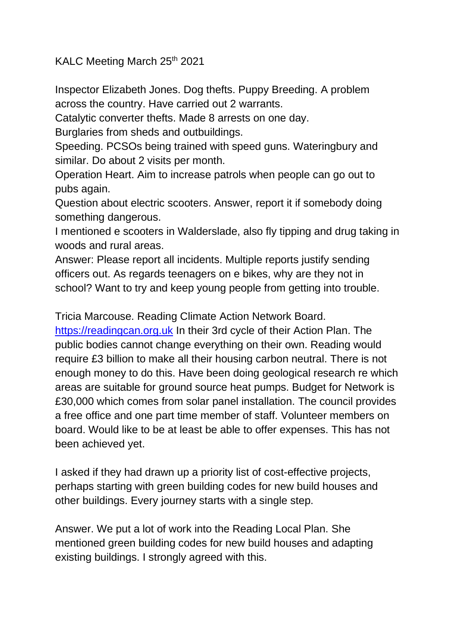KALC Meeting March 25<sup>th</sup> 2021

Inspector Elizabeth Jones. Dog thefts. Puppy Breeding. A problem across the country. Have carried out 2 warrants.

Catalytic converter thefts. Made 8 arrests on one day.

Burglaries from sheds and outbuildings.

Speeding. PCSOs being trained with speed guns. Wateringbury and similar. Do about 2 visits per month.

Operation Heart. Aim to increase patrols when people can go out to pubs again.

Question about electric scooters. Answer, report it if somebody doing something dangerous.

I mentioned e scooters in Walderslade, also fly tipping and drug taking in woods and rural areas.

Answer: Please report all incidents. Multiple reports justify sending officers out. As regards teenagers on e bikes, why are they not in school? Want to try and keep young people from getting into trouble.

Tricia Marcouse. Reading Climate Action Network Board.

[https://readingcan.org.uk](https://readingcan.org.uk/) In their 3rd cycle of their Action Plan. The public bodies cannot change everything on their own. Reading would require £3 billion to make all their housing carbon neutral. There is not enough money to do this. Have been doing geological research re which areas are suitable for ground source heat pumps. Budget for Network is £30,000 which comes from solar panel installation. The council provides a free office and one part time member of staff. Volunteer members on board. Would like to be at least be able to offer expenses. This has not been achieved yet.

I asked if they had drawn up a priority list of cost-effective projects, perhaps starting with green building codes for new build houses and other buildings. Every journey starts with a single step.

Answer. We put a lot of work into the Reading Local Plan. She mentioned green building codes for new build houses and adapting existing buildings. I strongly agreed with this.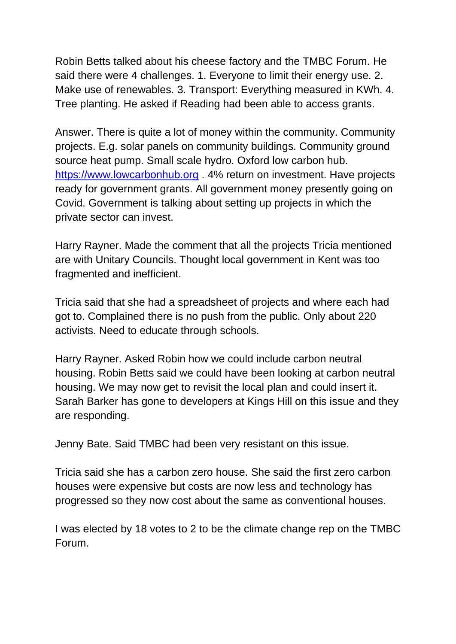Robin Betts talked about his cheese factory and the TMBC Forum. He said there were 4 challenges. 1. Everyone to limit their energy use. 2. Make use of renewables. 3. Transport: Everything measured in KWh. 4. Tree planting. He asked if Reading had been able to access grants.

Answer. There is quite a lot of money within the community. Community projects. E.g. solar panels on community buildings. Community ground source heat pump. Small scale hydro. Oxford low carbon hub. [https://www.lowcarbonhub.org](https://www.lowcarbonhub.org/) . 4% return on investment. Have projects ready for government grants. All government money presently going on Covid. Government is talking about setting up projects in which the private sector can invest.

Harry Rayner. Made the comment that all the projects Tricia mentioned are with Unitary Councils. Thought local government in Kent was too fragmented and inefficient.

Tricia said that she had a spreadsheet of projects and where each had got to. Complained there is no push from the public. Only about 220 activists. Need to educate through schools.

Harry Rayner. Asked Robin how we could include carbon neutral housing. Robin Betts said we could have been looking at carbon neutral housing. We may now get to revisit the local plan and could insert it. Sarah Barker has gone to developers at Kings Hill on this issue and they are responding.

Jenny Bate. Said TMBC had been very resistant on this issue.

Tricia said she has a carbon zero house. She said the first zero carbon houses were expensive but costs are now less and technology has progressed so they now cost about the same as conventional houses.

I was elected by 18 votes to 2 to be the climate change rep on the TMBC Forum.